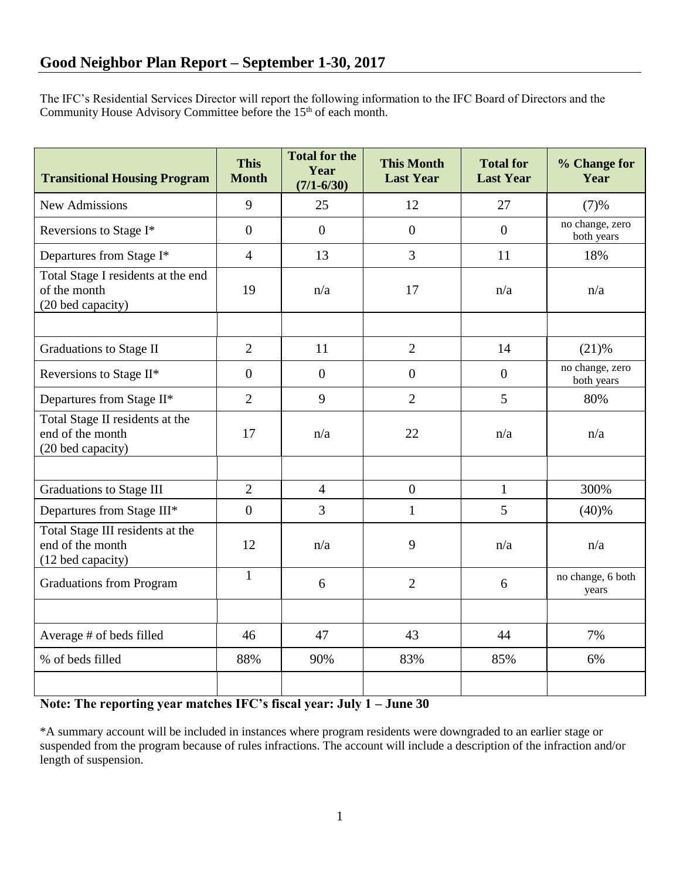The IFC's Residential Services Director will report the following information to the IFC Board of Directors and the Community House Advisory Committee before the 15<sup>th</sup> of each month.

| <b>Transitional Housing Program</b>                                       | <b>This</b><br><b>Month</b> | <b>Total for the</b><br>Year<br>$(7/1 - 6/30)$ | <b>This Month</b><br><b>Last Year</b> | <b>Total for</b><br><b>Last Year</b> | % Change for<br>Year          |
|---------------------------------------------------------------------------|-----------------------------|------------------------------------------------|---------------------------------------|--------------------------------------|-------------------------------|
| <b>New Admissions</b>                                                     | 9                           | 25                                             | 12                                    | 27                                   | (7)%                          |
| Reversions to Stage I*                                                    | $\overline{0}$              | $\overline{0}$                                 | $\overline{0}$                        | $\Omega$                             | no change, zero<br>both years |
| Departures from Stage I*                                                  | $\overline{4}$              | 13                                             | 3                                     | 11                                   | 18%                           |
| Total Stage I residents at the end<br>of the month<br>(20 bed capacity)   | 19                          | n/a                                            | 17                                    | n/a                                  | n/a                           |
|                                                                           |                             |                                                |                                       |                                      |                               |
| <b>Graduations to Stage II</b>                                            | $\overline{2}$              | 11                                             | $\overline{2}$                        | 14                                   | $(21)$ %                      |
| Reversions to Stage II*                                                   | $\overline{0}$              | $\overline{0}$                                 | $\overline{0}$                        | $\overline{0}$                       | no change, zero<br>both years |
| Departures from Stage II*                                                 | $\overline{2}$              | 9                                              | $\overline{2}$                        | 5                                    | 80%                           |
| Total Stage II residents at the<br>end of the month<br>(20 bed capacity)  | 17                          | n/a                                            | 22                                    | n/a                                  | n/a                           |
|                                                                           |                             |                                                |                                       |                                      |                               |
| <b>Graduations to Stage III</b>                                           | $\overline{2}$              | $\overline{4}$                                 | $\overline{0}$                        | $\mathbf{1}$                         | 300%                          |
| Departures from Stage III*                                                | $\overline{0}$              | 3                                              | $\mathbf{1}$                          | 5                                    | (40)%                         |
| Total Stage III residents at the<br>end of the month<br>(12 bed capacity) | 12                          | n/a                                            | 9                                     | n/a                                  | n/a                           |
| <b>Graduations from Program</b>                                           | $\mathbf{1}$                | 6                                              | $\overline{2}$                        | 6                                    | no change, 6 both<br>years    |
|                                                                           |                             |                                                |                                       |                                      |                               |
| Average # of beds filled                                                  | 46                          | 47                                             | 43                                    | 44                                   | 7%                            |
| % of beds filled                                                          | 88%                         | 90%                                            | 83%                                   | 85%                                  | 6%                            |
|                                                                           |                             |                                                |                                       |                                      |                               |

## **Note: The reporting year matches IFC's fiscal year: July 1 – June 30**

\*A summary account will be included in instances where program residents were downgraded to an earlier stage or suspended from the program because of rules infractions. The account will include a description of the infraction and/or length of suspension.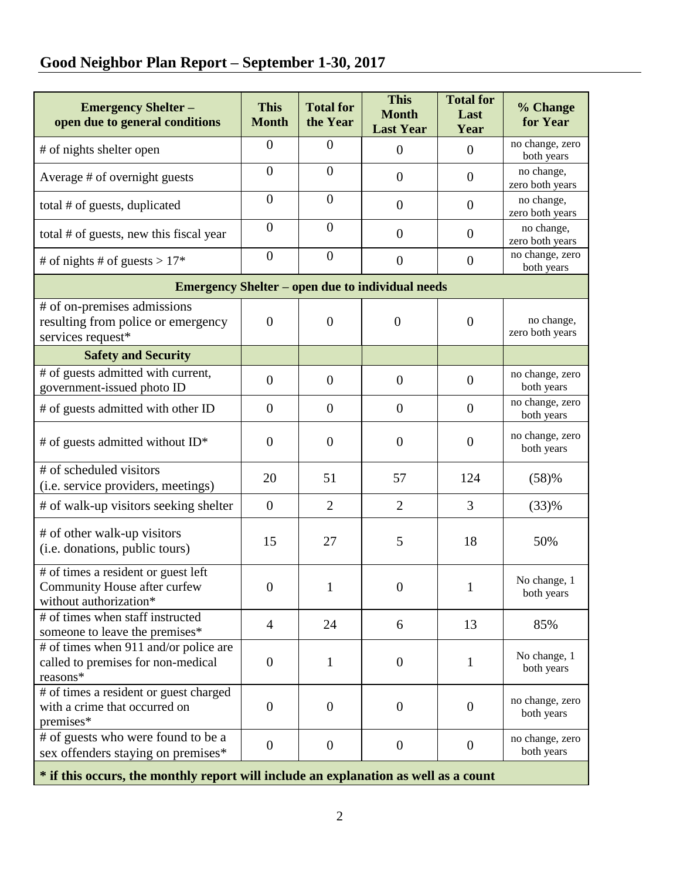## **Good Neighbor Plan Report – September 1-30, 2017**

| <b>Emergency Shelter -</b><br>open due to general conditions                                  | <b>This</b><br><b>Month</b> | <b>Total for</b><br>the Year | <b>This</b><br><b>Month</b><br><b>Last Year</b> | <b>Total for</b><br>Last<br>Year | % Change<br>for Year          |  |  |  |  |
|-----------------------------------------------------------------------------------------------|-----------------------------|------------------------------|-------------------------------------------------|----------------------------------|-------------------------------|--|--|--|--|
| # of nights shelter open                                                                      | $\overline{0}$              | $\overline{0}$               | $\overline{0}$                                  | $\overline{0}$                   | no change, zero<br>both years |  |  |  |  |
| Average # of overnight guests                                                                 | $\overline{0}$              | $\mathbf{0}$                 | $\overline{0}$                                  | $\theta$                         | no change,<br>zero both years |  |  |  |  |
| total # of guests, duplicated                                                                 | $\theta$                    | $\mathbf{0}$                 | $\overline{0}$                                  | $\theta$                         | no change,<br>zero both years |  |  |  |  |
| total # of guests, new this fiscal year                                                       | $\overline{0}$              | $\overline{0}$               | $\overline{0}$                                  | $\overline{0}$                   | no change,<br>zero both years |  |  |  |  |
| # of nights # of guests > $17*$                                                               | $\overline{0}$              | $\boldsymbol{0}$             | $\boldsymbol{0}$                                | $\boldsymbol{0}$                 | no change, zero<br>both years |  |  |  |  |
| <b>Emergency Shelter – open due to individual needs</b>                                       |                             |                              |                                                 |                                  |                               |  |  |  |  |
| # of on-premises admissions<br>resulting from police or emergency<br>services request*        | $\overline{0}$              | $\overline{0}$               | $\overline{0}$                                  | $\theta$                         | no change,<br>zero both years |  |  |  |  |
| <b>Safety and Security</b>                                                                    |                             |                              |                                                 |                                  |                               |  |  |  |  |
| # of guests admitted with current,<br>government-issued photo ID                              | $\overline{0}$              | $\overline{0}$               | $\overline{0}$                                  | $\overline{0}$                   | no change, zero<br>both years |  |  |  |  |
| # of guests admitted with other ID                                                            | $\overline{0}$              | $\overline{0}$               | $\overline{0}$                                  | $\overline{0}$                   | no change, zero<br>both years |  |  |  |  |
| # of guests admitted without $ID^*$                                                           | $\overline{0}$              | $\overline{0}$               | $\overline{0}$                                  | $\overline{0}$                   | no change, zero<br>both years |  |  |  |  |
| # of scheduled visitors<br>(i.e. service providers, meetings)                                 | 20                          | 51                           | 57                                              | 124                              | (58)%                         |  |  |  |  |
| # of walk-up visitors seeking shelter                                                         | $\overline{0}$              | $\overline{2}$               | $\overline{2}$                                  | 3                                | (33)%                         |  |  |  |  |
| # of other walk-up visitors<br>(i.e. donations, public tours)                                 | 15                          | 27                           | 5                                               | 18                               | 50%                           |  |  |  |  |
| # of times a resident or guest left<br>Community House after curfew<br>without authorization* | $\overline{0}$              | $\mathbf{1}$                 | $\boldsymbol{0}$                                | $\mathbf{1}$                     | No change, 1<br>both years    |  |  |  |  |
| # of times when staff instructed<br>someone to leave the premises*                            | $\overline{4}$              | 24                           | 6                                               | 13                               | 85%                           |  |  |  |  |
| # of times when 911 and/or police are<br>called to premises for non-medical<br>reasons*       | $\overline{0}$              | 1                            | $\overline{0}$                                  | $\mathbf{1}$                     | No change, 1<br>both years    |  |  |  |  |
| # of times a resident or guest charged<br>with a crime that occurred on<br>premises*          | $\overline{0}$              | $\mathbf{0}$                 | $\overline{0}$                                  | $\overline{0}$                   | no change, zero<br>both years |  |  |  |  |
| # of guests who were found to be a<br>sex offenders staying on premises*                      | $\boldsymbol{0}$            | $\boldsymbol{0}$             | $\boldsymbol{0}$                                | $\overline{0}$                   | no change, zero<br>both years |  |  |  |  |
| * if this occurs, the monthly report will include an explanation as well as a count           |                             |                              |                                                 |                                  |                               |  |  |  |  |